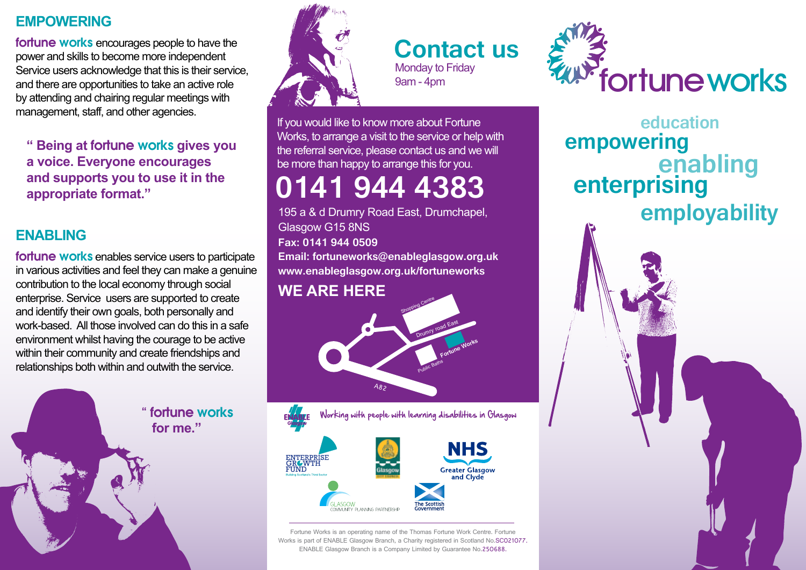## **EMPOWERING**

fortune works encourages people to have the power and skills to become more independent Service users acknowledge that this is their service, and there are opportunities to take an active role by attending and chairing regular meetings with management, staff, and other agencies.

 **" Being at** fortune works **gives you a voice. Everyone encourages and supports you to use it in the appropriate format."**

## **ENABLING**

fortune works enables service users to participate in various activities and feel they can make a genuine contribution to the local economy through social enterprise. Service users are supported to create and identify their own goals, both personally and work-based. All those involved can do this in a safe environment whilst having the courage to be active within their community and create friendships and relationships both within and outwith the service.





**Contact us** Monday to Friday 9am - 4pm

If you would like to know more about Fortune Works, to arrange a visit to the service or help with the referral service, please contact us and we will be more than happy to arrange this for you.

# **0141 944 4383**

195 a & d Drumry Road East, Drumchapel, Glasgow G15 8NS **Fax: 0141 944 0509 Email: fortuneworks@enableglasgow.org.uk www.enableglasgow.org.uk/fortuneworks** 

## **WE ARE HERE**





Fortune Works is an operating name of the Thomas Fortune Work Centre. Fortune Works is part of ENABLE Glasgow Branch, a Charity registered in Scotland No.SC021077. ENABLE Glasgow Branch is a Company Limited by Guarantee No.250688.



**enabling enterprising employability empowering education**